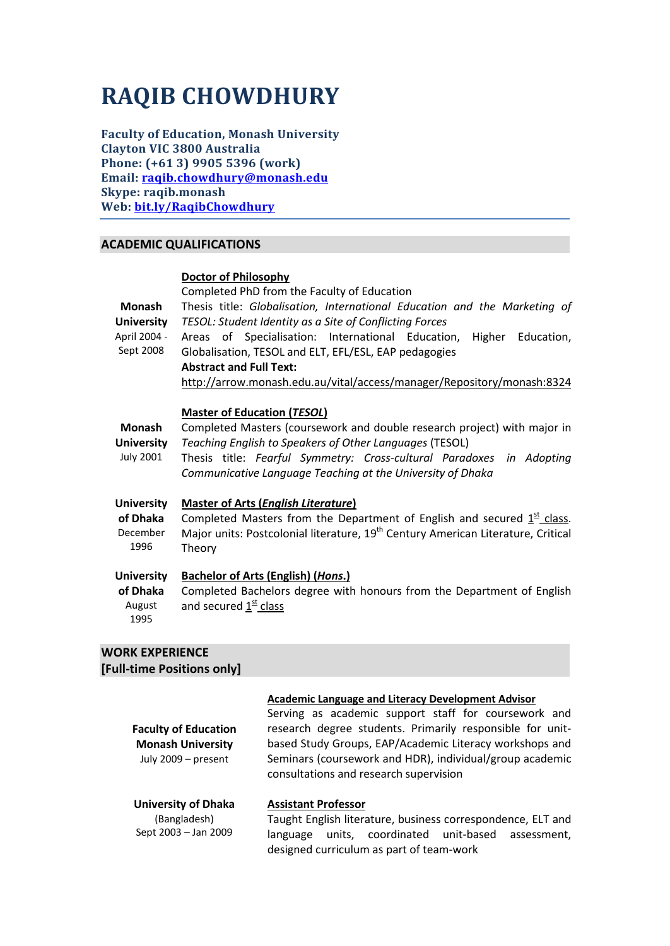# **RAQIB CHOWDHURY**

**Faculty of Education, Monash University Clayton VIC 3800 Australia Phone: (+61 3) 9905 5396 (work) Email: [raqib.chowdhury@monash.edu](mailto:raqib.chowdhury@monash.edu) Skype: raqib.monash Web: [bit.ly/RaqibChowdhury](http://monash.edu/education/research/profiles/profile.html?sid=30924&pid=7206)**

# **ACADEMIC QUALIFICATIONS**

# **Doctor of Philosophy**

| Monash<br><b>University</b><br>April 2004 -            | Completed PhD from the Faculty of Education<br>Thesis title: Globalisation, International Education and the Marketing of<br>TESOL: Student Identity as a Site of Conflicting Forces<br>Areas of Specialisation: International Education, Higher Education,                                                      |  |
|--------------------------------------------------------|-----------------------------------------------------------------------------------------------------------------------------------------------------------------------------------------------------------------------------------------------------------------------------------------------------------------|--|
| Sept 2008                                              | Globalisation, TESOL and ELT, EFL/ESL, EAP pedagogies<br><b>Abstract and Full Text:</b><br>http://arrow.monash.edu.au/vital/access/manager/Repository/monash:8324                                                                                                                                               |  |
| <b>Monash</b><br><b>University</b><br><b>July 2001</b> | <b>Master of Education (TESOL)</b><br>Completed Masters (coursework and double research project) with major in<br>Teaching English to Speakers of Other Languages (TESOL)<br>Thesis title: Fearful Symmetry: Cross-cultural Paradoxes in Adopting<br>Communicative Language Teaching at the University of Dhaka |  |
| <b>University</b><br>of Dhaka<br>December<br>1996      | <b>Master of Arts (English Literature)</b><br>Completed Masters from the Department of English and secured $1st$ class.<br>Major units: Postcolonial literature, 19 <sup>th</sup> Century American Literature, Critical<br>Theory                                                                               |  |
| <b>University</b><br>of Dhaka<br>August<br>1995        | <b>Bachelor of Arts (English) (Hons.)</b><br>Completed Bachelors degree with honours from the Department of English<br>and secured 1st class                                                                                                                                                                    |  |

# **WORK EXPERIENCE [Full-time Positions only]**

| <b>Faculty of Education</b><br><b>Monash University</b><br>July 2009 - present | <b>Academic Language and Literacy Development Advisor</b><br>Serving as academic support staff for coursework and<br>research degree students. Primarily responsible for unit-<br>based Study Groups, EAP/Academic Literacy workshops and<br>Seminars (coursework and HDR), individual/group academic<br>consultations and research supervision |
|--------------------------------------------------------------------------------|-------------------------------------------------------------------------------------------------------------------------------------------------------------------------------------------------------------------------------------------------------------------------------------------------------------------------------------------------|
| <b>University of Dhaka</b><br>(Bangladesh)<br>Sept 2003 - Jan 2009             | <b>Assistant Professor</b><br>Taught English literature, business correspondence, ELT and<br>units, coordinated unit-based assessment,<br>language                                                                                                                                                                                              |

designed curriculum as part of team-work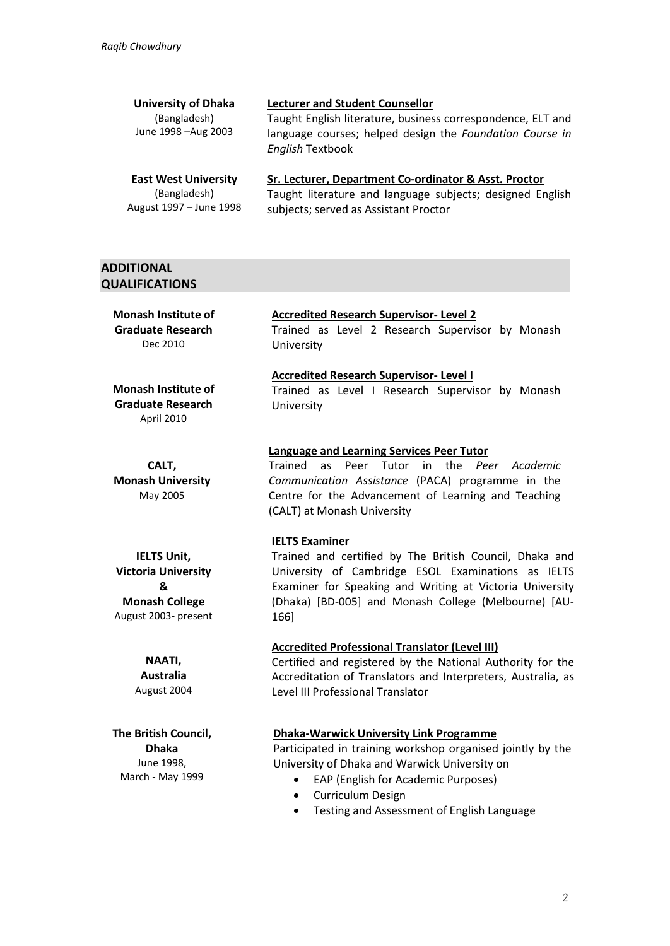| <b>Lecturer and Student Counsellor</b>                                                             |
|----------------------------------------------------------------------------------------------------|
| Taught English literature, business correspondence, ELT and                                        |
| language courses; helped design the Foundation Course in<br><b>English Textbook</b>                |
| Sr. Lecturer, Department Co-ordinator & Asst. Proctor                                              |
| Taught literature and language subjects; designed English<br>subjects; served as Assistant Proctor |
|                                                                                                    |

# **ADDITIONAL QUALIFICATIONS**

**Monash Institute of Graduate Research** Dec 2010

#### **Monash Institute of Graduate Research** April 2010

**CALT, Monash University** May 2005

**IELTS Unit, Victoria University & Monash College** August 2003- present

> **NAATI, Australia** August 2004

**The British Council, Dhaka** June 1998, March - May 1999

## **Accredited Research Supervisor- Level 2**

Trained as Level 2 Research Supervisor by Monash University

# **Accredited Research Supervisor- Level I** Trained as Level I Research Supervisor by Monash

University

# **Language and Learning Services Peer Tutor**

Trained as Peer Tutor in the *Peer Academic Communication Assistance* (PACA) programme in the Centre for the Advancement of Learning and Teaching (CALT) at Monash University

## **IELTS Examiner**

Trained and certified by The British Council, Dhaka and University of Cambridge ESOL Examinations as IELTS Examiner for Speaking and Writing at Victoria University (Dhaka) [BD-005] and Monash College (Melbourne) [AU-166]

## **Accredited Professional Translator (Level III)**

Certified and registered by the National Authority for the Accreditation of Translators and Interpreters, Australia, as Level III Professional Translator

## **Dhaka-Warwick University Link Programme**

Participated in training workshop organised jointly by the University of Dhaka and Warwick University on

- EAP (English for Academic Purposes)
- Curriculum Design
- Testing and Assessment of English Language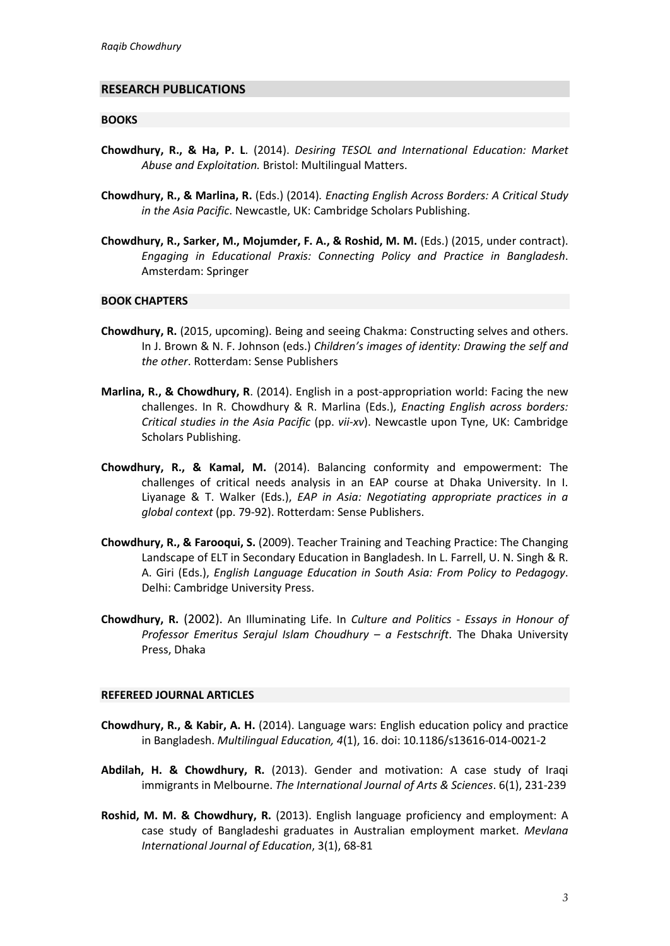#### **RESEARCH PUBLICATIONS**

#### **BOOKS**

- **Chowdhury, R., & Ha, P. L**. (2014). *Desiring TESOL and International Education: Market Abuse and Exploitation.* Bristol: Multilingual Matters.
- **Chowdhury, R., & Marlina, R.** (Eds.) (2014)*. Enacting English Across Borders: A Critical Study in the Asia Pacific*. Newcastle, UK: Cambridge Scholars Publishing.
- **Chowdhury, R., Sarker, M., Mojumder, F. A., & Roshid, M. M.** (Eds.) (2015, under contract). *Engaging in Educational Praxis: Connecting Policy and Practice in Bangladesh*. Amsterdam: Springer

## **BOOK CHAPTERS**

- **Chowdhury, R.** (2015, upcoming). Being and seeing Chakma: Constructing selves and others. In J. Brown & N. F. Johnson (eds.) *Children's images of identity: Drawing the self and the other*. Rotterdam: Sense Publishers
- **Marlina, R., & Chowdhury, R**. (2014). English in a post-appropriation world: Facing the new challenges. In R. Chowdhury & R. Marlina (Eds.), *Enacting English across borders: Critical studies in the Asia Pacific* (pp. *vii-xv*). Newcastle upon Tyne, UK: Cambridge Scholars Publishing.
- **Chowdhury, R., & Kamal, M.** (2014). Balancing conformity and empowerment: The challenges of critical needs analysis in an EAP course at Dhaka University. In I. Liyanage & T. Walker (Eds.), *EAP in Asia: Negotiating appropriate practices in a global context* (pp. 79-92). Rotterdam: Sense Publishers.
- **Chowdhury, R., & Farooqui, S.** (2009). Teacher Training and Teaching Practice: The Changing Landscape of ELT in Secondary Education in Bangladesh. In L. Farrell, U. N. Singh & R. A. Giri (Eds.), *English Language Education in South Asia: From Policy to Pedagogy*. Delhi: Cambridge University Press.
- **Chowdhury, R.** (2002). An Illuminating Life. In *Culture and Politics Essays in Honour of Professor Emeritus Serajul Islam Choudhury – a Festschrift*. The Dhaka University Press, Dhaka

#### **REFEREED JOURNAL ARTICLES**

- **Chowdhury, R., & Kabir, A. H.** (2014). Language wars: English education policy and practice in Bangladesh. *Multilingual Education, 4*(1), 16. doi: 10.1186/s13616-014-0021-2
- **Abdilah, H. & Chowdhury, R.** (2013). Gender and motivation: A case study of Iraqi immigrants in Melbourne. *The International Journal of Arts & Sciences*. 6(1), 231-239
- **Roshid, M. M. & Chowdhury, R.** (2013). English language proficiency and employment: A case study of Bangladeshi graduates in Australian employment market. *Mevlana International Journal of Education*, 3(1), 68-81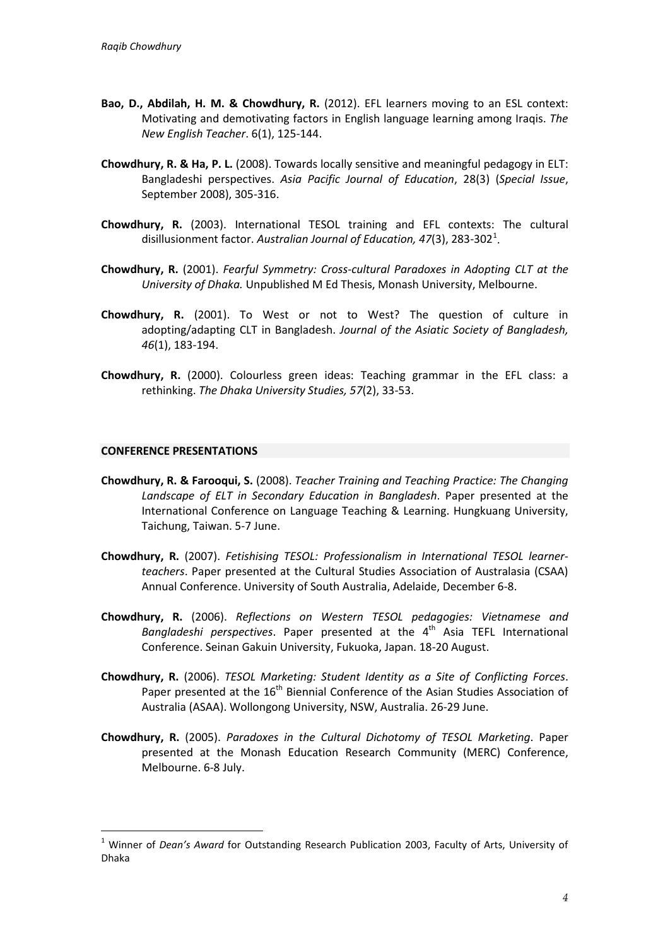- **Bao, D., Abdilah, H. M. & Chowdhury, R.** (2012). EFL learners moving to an ESL context: Motivating and demotivating factors in English language learning among Iraqis. *The New English Teacher*. 6(1), 125-144.
- **Chowdhury, R. & Ha, P. L.** (2008). Towards locally sensitive and meaningful pedagogy in ELT: Bangladeshi perspectives. *Asia Pacific Journal of Education*, 28(3) (*Special Issue*, September 2008), 305-316.
- **Chowdhury, R.** (2003). International TESOL training and EFL contexts: The cultural disillusionment factor. Australian Journal of Education, 47(3), 283-302<sup>[1](#page-3-0)</sup>.
- **Chowdhury, R.** (2001). *Fearful Symmetry: Cross-cultural Paradoxes in Adopting CLT at the University of Dhaka.* Unpublished M Ed Thesis, Monash University, Melbourne.
- **Chowdhury, R.** (2001). To West or not to West? The question of culture in adopting/adapting CLT in Bangladesh. *Journal of the Asiatic Society of Bangladesh, 46*(1), 183-194.
- **Chowdhury, R.** (2000). Colourless green ideas: Teaching grammar in the EFL class: a rethinking. *The Dhaka University Studies, 57*(2), 33-53.

#### **CONFERENCE PRESENTATIONS**

-

- **Chowdhury, R. & Farooqui, S.** (2008). *Teacher Training and Teaching Practice: The Changing Landscape of ELT in Secondary Education in Bangladesh*. Paper presented at the International Conference on Language Teaching & Learning. Hungkuang University, Taichung, Taiwan. 5-7 June.
- **Chowdhury, R.** (2007). *Fetishising TESOL: Professionalism in International TESOL learnerteachers*. Paper presented at the Cultural Studies Association of Australasia (CSAA) Annual Conference. University of South Australia, Adelaide, December 6-8.
- **Chowdhury, R.** (2006). *Reflections on Western TESOL pedagogies: Vietnamese and Bangladeshi perspectives*. Paper presented at the 4<sup>th</sup> Asia TEFL International Conference. Seinan Gakuin University, Fukuoka, Japan. 18-20 August.
- **Chowdhury, R.** (2006). *TESOL Marketing: Student Identity as a Site of Conflicting Forces*. Paper presented at the  $16<sup>th</sup>$  Biennial Conference of the Asian Studies Association of Australia (ASAA). Wollongong University, NSW, Australia. 26-29 June.
- **Chowdhury, R.** (2005). *Paradoxes in the Cultural Dichotomy of TESOL Marketing*. Paper presented at the Monash Education Research Community (MERC) Conference, Melbourne. 6-8 July.

<span id="page-3-0"></span><sup>1</sup> Winner of *Dean's Award* for Outstanding Research Publication 2003, Faculty of Arts, University of Dhaka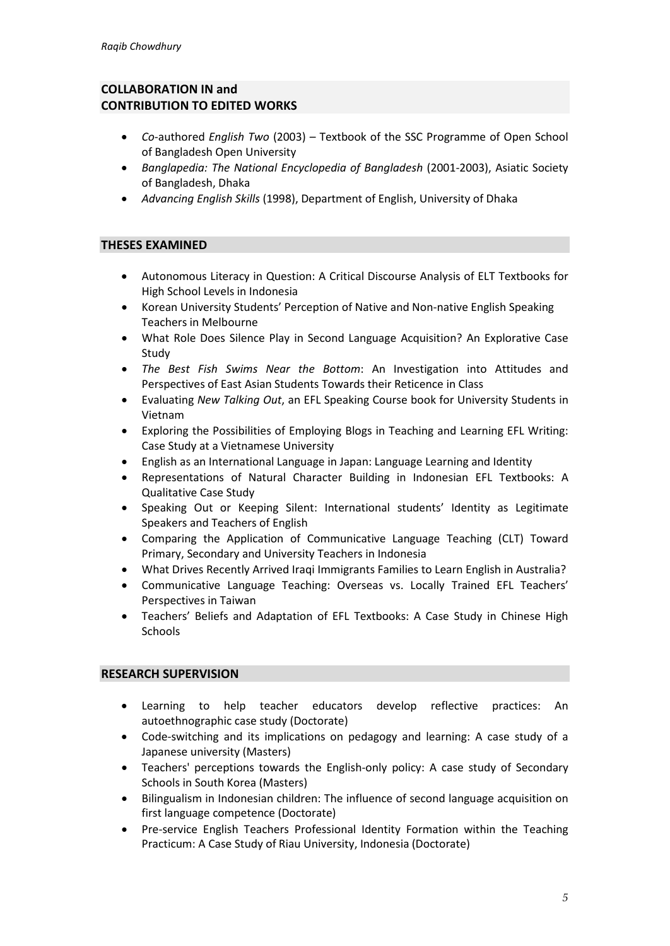# **COLLABORATION IN and CONTRIBUTION TO EDITED WORKS**

- *Co*-authored *English Two* (2003) Textbook of the SSC Programme of Open School of Bangladesh Open University
- *Banglapedia: The National Encyclopedia of Bangladesh* (2001-2003), Asiatic Society of Bangladesh, Dhaka
- *Advancing English Skills* (1998), Department of English, University of Dhaka

# **THESES EXAMINED**

- Autonomous Literacy in Question: A Critical Discourse Analysis of ELT Textbooks for High School Levels in Indonesia
- Korean University Students' Perception of Native and Non-native English Speaking Teachers in Melbourne
- What Role Does Silence Play in Second Language Acquisition? An Explorative Case Study
- *The Best Fish Swims Near the Bottom*: An Investigation into Attitudes and Perspectives of East Asian Students Towards their Reticence in Class
- Evaluating *New Talking Out*, an EFL Speaking Course book for University Students in Vietnam
- Exploring the Possibilities of Employing Blogs in Teaching and Learning EFL Writing: Case Study at a Vietnamese University
- English as an International Language in Japan: Language Learning and Identity
- Representations of Natural Character Building in Indonesian EFL Textbooks: A Qualitative Case Study
- Speaking Out or Keeping Silent: International students' Identity as Legitimate Speakers and Teachers of English
- Comparing the Application of Communicative Language Teaching (CLT) Toward Primary, Secondary and University Teachers in Indonesia
- What Drives Recently Arrived Iraqi Immigrants Families to Learn English in Australia?
- Communicative Language Teaching: Overseas vs. Locally Trained EFL Teachers' Perspectives in Taiwan
- Teachers' Beliefs and Adaptation of EFL Textbooks: A Case Study in Chinese High **Schools**

# **RESEARCH SUPERVISION**

- Learning to help teacher educators develop reflective practices: An autoethnographic case study (Doctorate)
- Code-switching and its implications on pedagogy and learning: A case study of a Japanese university (Masters)
- Teachers' perceptions towards the English-only policy: A case study of Secondary Schools in South Korea (Masters)
- Bilingualism in Indonesian children: The influence of second language acquisition on first language competence (Doctorate)
- Pre-service English Teachers Professional Identity Formation within the Teaching Practicum: A Case Study of Riau University, Indonesia (Doctorate)